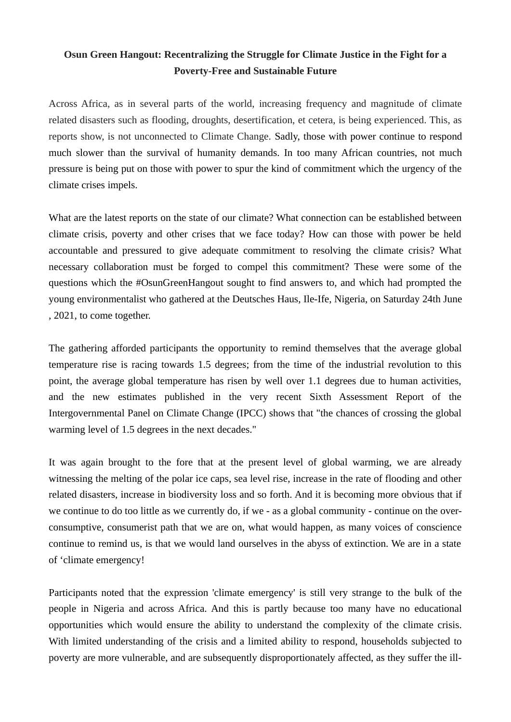## **Osun Green Hangout: Recentralizing the Struggle for Climate Justice in the Fight for a Poverty-Free and Sustainable Future**

Across Africa, as in several parts of the world, increasing frequency and magnitude of climate related disasters such as flooding, droughts, desertification, et cetera, is being experienced. This, as reports show, is not unconnected to Climate Change. Sadly, those with power continue to respond much slower than the survival of humanity demands. In too many African countries, not much pressure is being put on those with power to spur the kind of commitment which the urgency of the climate crises impels.

What are the latest reports on the state of our climate? What connection can be established between climate crisis, poverty and other crises that we face today? How can those with power be held accountable and pressured to give adequate commitment to resolving the climate crisis? What necessary collaboration must be forged to compel this commitment? These were some of the questions which the #OsunGreenHangout sought to find answers to, and which had prompted the young environmentalist who gathered at the Deutsches Haus, Ile-Ife, Nigeria, on Saturday 24th June , 2021, to come together.

The gathering afforded participants the opportunity to remind themselves that the average global temperature rise is racing towards 1.5 degrees; from the time of the industrial revolution to this point, the average global temperature has risen by well over 1.1 degrees due to human activities, and the new estimates published in the very recent Sixth Assessment Report of the Intergovernmental Panel on Climate Change (IPCC) shows that "the chances of crossing the global warming level of 1.5 degrees in the next decades."

It was again brought to the fore that at the present level of global warming, we are already witnessing the melting of the polar ice caps, sea level rise, increase in the rate of flooding and other related disasters, increase in biodiversity loss and so forth. And it is becoming more obvious that if we continue to do too little as we currently do, if we - as a global community - continue on the overconsumptive, consumerist path that we are on, what would happen, as many voices of conscience continue to remind us, is that we would land ourselves in the abyss of extinction. We are in a state of 'climate emergency!

Participants noted that the expression 'climate emergency' is still very strange to the bulk of the people in Nigeria and across Africa. And this is partly because too many have no educational opportunities which would ensure the ability to understand the complexity of the climate crisis. With limited understanding of the crisis and a limited ability to respond, households subjected to poverty are more vulnerable, and are subsequently disproportionately affected, as they suffer the ill